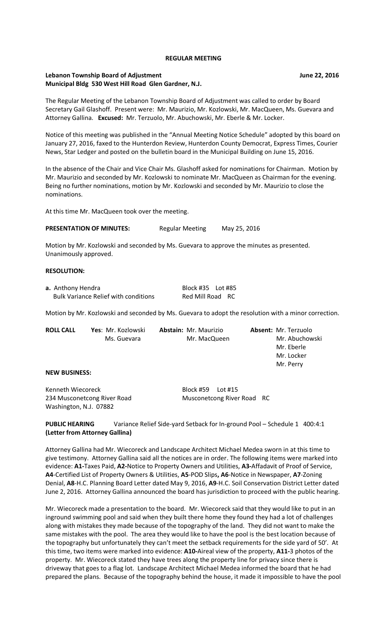#### **REGULAR MEETING**

## **Lebanon Township Board of Adjustment Community Community Community Community Community Community Community Community Community Community Community Community Community Community Community Community Community Community Comm Municipal Bldg 530 West Hill Road Glen Gardner, N.J.**

The Regular Meeting of the Lebanon Township Board of Adjustment was called to order by Board Secretary Gail Glashoff. Present were: Mr. Maurizio, Mr. Kozlowski, Mr. MacQueen, Ms. Guevara and Attorney Gallina. **Excused:** Mr. Terzuolo, Mr. Abuchowski, Mr. Eberle & Mr. Locker.

Notice of this meeting was published in the "Annual Meeting Notice Schedule" adopted by this board on January 27, 2016, faxed to the Hunterdon Review, Hunterdon County Democrat, Express Times, Courier News, Star Ledger and posted on the bulletin board in the Municipal Building on June 15, 2016.

In the absence of the Chair and Vice Chair Ms. Glashoff asked for nominations for Chairman. Motion by Mr. Maurizio and seconded by Mr. Kozlowski to nominate Mr. MacQueen as Chairman for the evening. Being no further nominations, motion by Mr. Kozlowski and seconded by Mr. Maurizio to close the nominations.

At this time Mr. MacQueen took over the meeting.

PRESENTATION OF MINUTES: Regular Meeting May 25, 2016

Motion by Mr. Kozlowski and seconded by Ms. Guevara to approve the minutes as presented. Unanimously approved.

### **RESOLUTION:**

| a. Anthony Hendra                           | Block #35    Lot #85 |  |
|---------------------------------------------|----------------------|--|
| <b>Bulk Variance Relief with conditions</b> | Red Mill Road RC     |  |

Motion by Mr. Kozlowski and seconded by Ms. Guevara to adopt the resolution with a minor correction.

| <b>ROLL CALL</b>     | Yes: Mr. Kozlowski | <b>Abstain: Mr. Maurizio</b> | <b>Absent: Mr. Terzuolo</b> |
|----------------------|--------------------|------------------------------|-----------------------------|
|                      | Ms. Guevara        | Mr. MacQueen                 | Mr. Abuchowski              |
|                      |                    |                              | Mr. Eberle                  |
|                      |                    |                              | Mr. Locker                  |
|                      |                    |                              | Mr. Perry                   |
| <b>NEW BUSINESS:</b> |                    |                              |                             |
|                      |                    |                              |                             |

Kenneth Wiecoreck Block #59 Lot #15 Washington, N.J. 07882

234 Musconetcong River Road Musconetcong River Road RC

**PUBLIC HEARING** Variance Relief Side-yard Setback for In-ground Pool – Schedule 1 400:4:1 **(Letter from Attorney Gallina)**

Attorney Gallina had Mr. Wiecoreck and Landscape Architect Michael Medea sworn in at this time to give testimony. Attorney Gallina said all the notices are in order. The following items were marked into evidence: **A1-**Taxes Paid, **A2-**Notice to Property Owners and Utilities, **A3-**Affadavit of Proof of Service, **A4**-Certified List of Property Owners & Utilities, **A5**-POD Slips**, A6**-Notice in Newspaper, **A7**-Zoning Denial, **A8**-H.C. Planning Board Letter dated May 9, 2016, **A9**-H.C. Soil Conservation District Letter dated June 2, 2016. Attorney Gallina announced the board has jurisdiction to proceed with the public hearing.

Mr. Wiecoreck made a presentation to the board. Mr. Wiecoreck said that they would like to put in an inground swimming pool and said when they built there home they found they had a lot of challenges along with mistakes they made because of the topography of the land. They did not want to make the same mistakes with the pool. The area they would like to have the pool is the best location because of the topography but unfortunately they can't meet the setback requirements for the side yard of 50'. At this time, two items were marked into evidence: **A10-**Aireal view of the property, **A11-**3 photos of the property. Mr. Wiecoreck stated they have trees along the property line for privacy since there is driveway that goes to a flag lot. Landscape Architect Michael Medea informed the board that he had prepared the plans. Because of the topography behind the house, it made it impossible to have the pool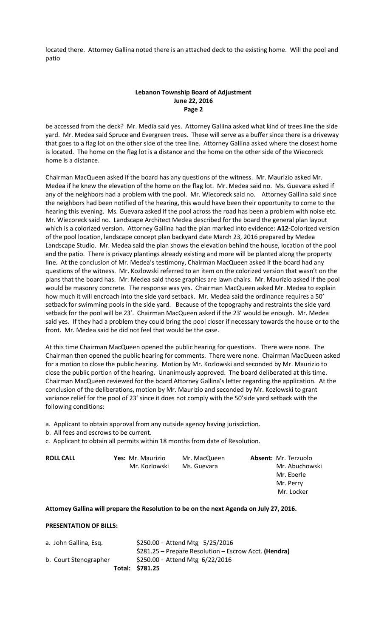located there. Attorney Gallina noted there is an attached deck to the existing home. Will the pool and patio

# **Lebanon Township Board of Adjustment June 22, 2016 Page 2**

be accessed from the deck? Mr. Media said yes. Attorney Gallina asked what kind of trees line the side yard. Mr. Medea said Spruce and Evergreen trees. These will serve as a buffer since there is a driveway that goes to a flag lot on the other side of the tree line. Attorney Gallina asked where the closest home is located. The home on the flag lot is a distance and the home on the other side of the Wiecoreck home is a distance.

Chairman MacQueen asked if the board has any questions of the witness. Mr. Maurizio asked Mr. Medea if he knew the elevation of the home on the flag lot. Mr. Medea said no. Ms. Guevara asked if any of the neighbors had a problem with the pool. Mr. Wiecoreck said no. Attorney Gallina said since the neighbors had been notified of the hearing, this would have been their opportunity to come to the hearing this evening. Ms. Guevara asked if the pool across the road has been a problem with noise etc. Mr. Wiecoreck said no. Landscape Architect Medea described for the board the general plan layout which is a colorized version. Attorney Gallina had the plan marked into evidence: **A12**-Colorized version of the pool location, landscape concept plan backyard date March 23, 2016 prepared by Medea Landscape Studio. Mr. Medea said the plan shows the elevation behind the house, location of the pool and the patio. There is privacy plantings already existing and more will be planted along the property line. At the conclusion of Mr. Medea's testimony, Chairman MacQueen asked if the board had any questions of the witness. Mr. Kozlowski referred to an item on the colorized version that wasn't on the plans that the board has. Mr. Medea said those graphics are lawn chairs. Mr. Maurizio asked if the pool would be masonry concrete. The response was yes. Chairman MacQueen asked Mr. Medea to explain how much it will encroach into the side yard setback. Mr. Medea said the ordinance requires a 50' setback for swimming pools in the side yard. Because of the topography and restraints the side yard setback for the pool will be 23'. Chairman MacQueen asked if the 23' would be enough. Mr. Medea said yes. If they had a problem they could bring the pool closer if necessary towards the house or to the front. Mr. Medea said he did not feel that would be the case.

At this time Chairman MacQueen opened the public hearing for questions. There were none. The Chairman then opened the public hearing for comments. There were none. Chairman MacQueen asked for a motion to close the public hearing. Motion by Mr. Kozlowski and seconded by Mr. Maurizio to close the public portion of the hearing. Unanimously approved. The board deliberated at this time. Chairman MacQueen reviewed for the board Attorney Gallina's letter regarding the application. At the conclusion of the deliberations, motion by Mr. Maurizio and seconded by Mr. Kozlowski to grant variance relief for the pool of 23' since it does not comply with the 50'side yard setback with the following conditions:

a. Applicant to obtain approval from any outside agency having jurisdiction.

b. All fees and escrows to be current.

c. Applicant to obtain all permits within 18 months from date of Resolution.

| <b>ROLL CALL</b> | Yes: Mr. Maurizio | Mr. MacQueen | <b>Absent: Mr. Terzuolo</b> |
|------------------|-------------------|--------------|-----------------------------|
|                  | Mr. Kozlowski     | Ms. Guevara  | Mr. Abuchowski              |
|                  |                   |              | Mr. Eberle                  |
|                  |                   |              | Mr. Perry                   |
|                  |                   |              | Mr. Locker                  |
|                  |                   |              |                             |

#### **Attorney Gallina will prepare the Resolution to be on the next Agenda on July 27, 2016.**

### **PRESENTATION OF BILLS:**

|                       | Total: \$781.25                                        |
|-----------------------|--------------------------------------------------------|
| b. Court Stenographer | \$250.00 - Attend Mtg $6/22/2016$                      |
|                       | $$281.25$ – Prepare Resolution – Escrow Acct. (Hendra) |
| a. John Gallina, Esq. | $$250.00 -$ Attend Mtg $5/25/2016$                     |